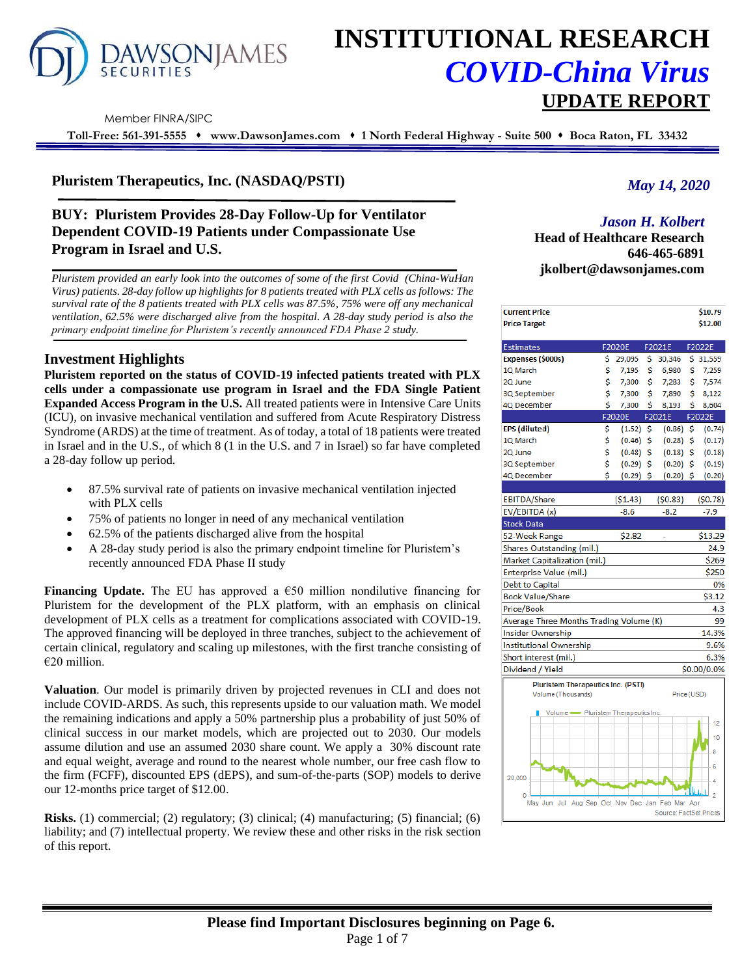

# **INSTITUTIONAL RESEARCH** *COVID-China Virus* **UPDATE REPORT**

Member FINRA/SIPC

**Toll-Free: 561-391-5555** ⬧ **www.DawsonJames.com** ⬧ **1 North Federal Highway - Suite 500** ⬧ **Boca Raton, FL 33432**

# **Pluristem Therapeutics, Inc. (NASDAQ/PSTI)**

# **BUY: Pluristem Provides 28-Day Follow-Up for Ventilator Dependent COVID-19 Patients under Compassionate Use Program in Israel and U.S.**

*Pluristem provided an early look into the outcomes of some of the first Covid (China-WuHan Virus) patients. 28-day follow up highlights for 8 patients treated with PLX cells as follows: The survival rate of the 8 patients treated with PLX cells was 87.5%, 75% were off any mechanical ventilation, 62.5% were discharged alive from the hospital. A 28-day study period is also the primary endpoint timeline for Pluristem's recently announced FDA Phase 2 study.*

# **Investment Highlights**

**Pluristem reported on the status of COVID-19 infected patients treated with PLX cells under a compassionate use program in Israel and the FDA Single Patient Expanded Access Program in the U.S.** All treated patients were in Intensive Care Units (ICU), on invasive mechanical ventilation and suffered from Acute Respiratory Distress Syndrome (ARDS) at the time of treatment. As of today, a total of 18 patients were treated in Israel and in the U.S., of which 8 (1 in the U.S. and 7 in Israel) so far have completed a 28-day follow up period.

- 87.5% survival rate of patients on invasive mechanical ventilation injected with PLX cells
- 75% of patients no longer in need of any mechanical ventilation
- 62.5% of the patients discharged alive from the hospital
- A 28-day study period is also the primary endpoint timeline for Pluristem's recently announced FDA Phase II study

**Financing Update.** The EU has approved a  $\epsilon$ 50 million nondilutive financing for Pluristem for the development of the PLX platform, with an emphasis on clinical development of PLX cells as a treatment for complications associated with COVID-19. The approved financing will be deployed in three tranches, subject to the achievement of certain clinical, regulatory and scaling up milestones, with the first tranche consisting of €20 million.

**Valuation**. Our model is primarily driven by projected revenues in CLI and does not include COVID-ARDS. As such, this represents upside to our valuation math. We model the remaining indications and apply a 50% partnership plus a probability of just 50% of clinical success in our market models, which are projected out to 2030. Our models assume dilution and use an assumed 2030 share count. We apply a 30% discount rate and equal weight, average and round to the nearest whole number, our free cash flow to the firm (FCFF), discounted EPS (dEPS), and sum-of-the-parts (SOP) models to derive our 12-months price target of \$12.00.

**Risks.** (1) commercial; (2) regulatory; (3) clinical; (4) manufacturing; (5) financial; (6) liability; and (7) intellectual property. We review these and other risks in the risk section of this report.

# *May 14, 2020*

# *Jason H. Kolbert*

**Head of Healthcare Research 646-465-6891 jkolbert@dawsonjames.com**

| <b>Current Price</b>                                 |    |             |     |                        |     | \$10.79      |  |  |
|------------------------------------------------------|----|-------------|-----|------------------------|-----|--------------|--|--|
| <b>Price Target</b>                                  |    |             |     |                        |     | \$12.00      |  |  |
| <b>Estimates</b>                                     |    | F2020E      |     | F2021E                 |     | F2022E       |  |  |
| Expenses (\$000s)                                    | \$ | 29,095      | \$. | 30,346                 |     | \$31,559     |  |  |
| 1Q March                                             | \$ | 7,195       | \$  | 6,980                  | \$  | 7,259        |  |  |
| 2Q June                                              | \$ | 7,300       | \$  | 7,283                  | \$  | 7,574        |  |  |
| 3Q September                                         | \$ | 7,300       | \$  | 7,890                  | \$. | 8,122        |  |  |
| 4Q December                                          | \$ | 7,300       | \$  | 8,193                  | \$  | 8,604        |  |  |
|                                                      |    | F2020E      |     | F2021E                 |     | F2022E       |  |  |
| EPS (diluted)                                        | \$ | (1.52)      | \$  | (0.86)                 | \$  | (0.74)       |  |  |
| 1Q March                                             | \$ | (0.46)      | -\$ | (0.28)                 | \$  | (0.17)       |  |  |
| 2Q June                                              | \$ | (0.48)      | \$  | (0.18)                 | \$  | (0.18)       |  |  |
| 3Q September                                         | \$ | (0.29)      | \$  | (0.20)                 | \$  | (0.19)       |  |  |
| 4Q December                                          | \$ | $(0.29)$ \$ |     | $(0.20)$ \$            |     | (0.20)       |  |  |
|                                                      |    |             |     |                        |     |              |  |  |
| EBITDA/Share                                         |    | ( \$1.43)   |     | (50.83)                |     | (50.78)      |  |  |
| EV/EBITDA (x)                                        |    | $-8.6$      |     | $-8.2$                 |     | $-7.9$       |  |  |
| Stock Data                                           |    |             |     |                        |     |              |  |  |
| 52-Week Range                                        |    | \$2.82      |     |                        |     | \$13.29      |  |  |
| Shares Outstanding (mil.)                            |    |             |     |                        |     | 24.9         |  |  |
| Market Capitalization (mil.)<br>\$269                |    |             |     |                        |     |              |  |  |
| Enterprise Value (mil.)<br>\$250                     |    |             |     |                        |     |              |  |  |
| <b>Debt to Capital</b>                               |    |             |     |                        |     | 0%           |  |  |
| Book Value/Share                                     |    |             |     |                        |     | \$3.12       |  |  |
| Price/Book                                           |    |             |     |                        |     | 4.3          |  |  |
| Average Three Months Trading Volume (K)              |    |             |     |                        |     | 99           |  |  |
| Insider Ownership                                    |    |             |     |                        |     | 14.3%        |  |  |
| Institutional Ownership                              |    |             |     |                        |     | 9.6%         |  |  |
| Short interest (mil.)                                |    |             |     |                        |     | 6.3%         |  |  |
| Dividend / Yield                                     |    |             |     |                        |     | \$0.00/0.0%  |  |  |
| <b>Pluristem Therapeutics Inc. (PSTI)</b>            |    |             |     |                        |     |              |  |  |
| Volume (Thousands)                                   |    |             |     | Price (USD)            |     |              |  |  |
|                                                      |    |             |     |                        |     |              |  |  |
| Volume Pluristem Therapeutics Inc.                   |    |             |     |                        |     | 12           |  |  |
|                                                      |    |             |     |                        |     |              |  |  |
|                                                      |    |             |     |                        |     | 10           |  |  |
|                                                      |    |             |     |                        |     | 8            |  |  |
|                                                      |    |             |     |                        |     | 6            |  |  |
| 20,000                                               |    |             |     |                        |     | 4            |  |  |
|                                                      |    |             |     |                        |     | <sup>2</sup> |  |  |
| Ō<br>May Jun Jul Aug Sep Oct Nov Dec Jan Feb Mar Apr |    |             |     |                        |     |              |  |  |
|                                                      |    |             |     | Source: FactSet Prices |     |              |  |  |
|                                                      |    |             |     |                        |     |              |  |  |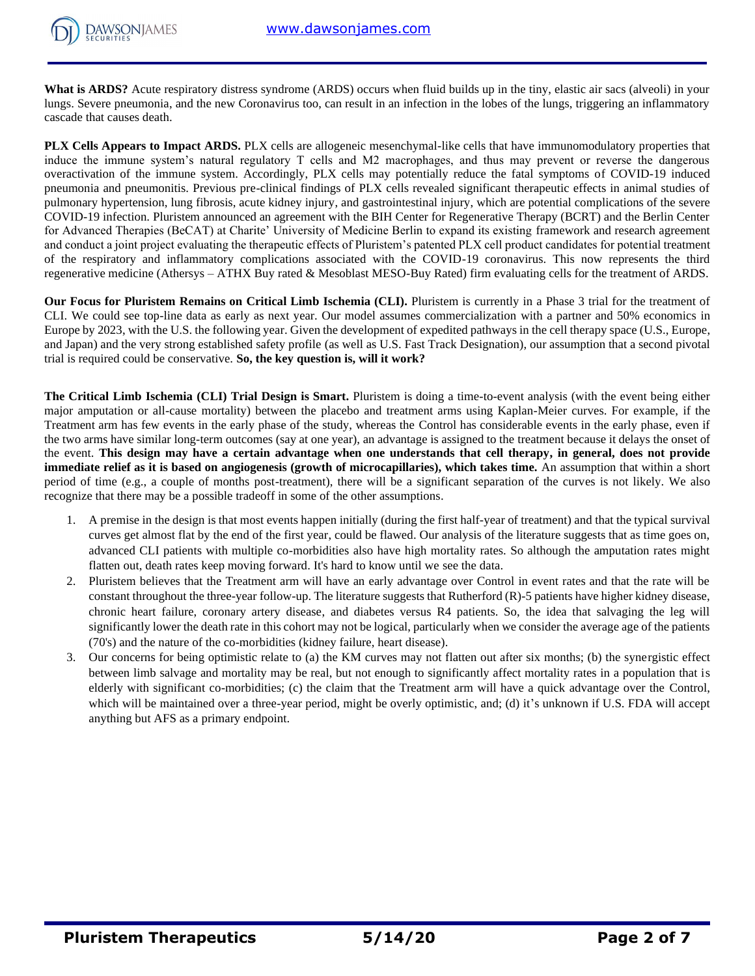

What is ARDS? Acute respiratory distress syndrome (ARDS) occurs when fluid builds up in the tiny, elastic air sacs (alveoli) in your lungs. Severe pneumonia, and the new Coronavirus too, can result in an infection in the lobes of the lungs, triggering an inflammatory cascade that causes death.

**PLX Cells Appears to Impact ARDS.** PLX cells are allogeneic mesenchymal-like cells that have immunomodulatory properties that induce the immune system's natural regulatory T cells and M2 macrophages, and thus may prevent or reverse the dangerous overactivation of the immune system. Accordingly, PLX cells may potentially reduce the fatal symptoms of COVID-19 induced pneumonia and pneumonitis. Previous pre-clinical findings of PLX cells revealed significant therapeutic effects in animal studies of pulmonary hypertension, lung fibrosis, acute kidney injury, and gastrointestinal injury, which are potential complications of the severe COVID-19 infection. Pluristem announced an agreement with the BIH Center for Regenerative Therapy (BCRT) and the Berlin Center for Advanced Therapies (BeCAT) at Charite' University of Medicine Berlin to expand its existing framework and research agreement and conduct a joint project evaluating the therapeutic effects of Pluristem's patented PLX cell product candidates for potential treatment of the respiratory and inflammatory complications associated with the COVID-19 coronavirus. This now represents the third regenerative medicine (Athersys – ATHX Buy rated & Mesoblast MESO-Buy Rated) firm evaluating cells for the treatment of ARDS.

**Our Focus for Pluristem Remains on Critical Limb Ischemia (CLI).** Pluristem is currently in a Phase 3 trial for the treatment of CLI. We could see top-line data as early as next year. Our model assumes commercialization with a partner and 50% economics in Europe by 2023, with the U.S. the following year. Given the development of expedited pathways in the cell therapy space (U.S., Europe, and Japan) and the very strong established safety profile (as well as U.S. Fast Track Designation), our assumption that a second pivotal trial is required could be conservative. **So, the key question is, will it work?** 

**The Critical Limb Ischemia (CLI) Trial Design is Smart.** Pluristem is doing a time-to-event analysis (with the event being either major amputation or all-cause mortality) between the placebo and treatment arms using Kaplan-Meier curves. For example, if the Treatment arm has few events in the early phase of the study, whereas the Control has considerable events in the early phase, even if the two arms have similar long-term outcomes (say at one year), an advantage is assigned to the treatment because it delays the onset of the event. **This design may have a certain advantage when one understands that cell therapy, in general, does not provide immediate relief as it is based on angiogenesis (growth of microcapillaries), which takes time.** An assumption that within a short period of time (e.g., a couple of months post-treatment), there will be a significant separation of the curves is not likely. We also recognize that there may be a possible tradeoff in some of the other assumptions.

- 1. A premise in the design is that most events happen initially (during the first half-year of treatment) and that the typical survival curves get almost flat by the end of the first year, could be flawed. Our analysis of the literature suggests that as time goes on, advanced CLI patients with multiple co-morbidities also have high mortality rates. So although the amputation rates might flatten out, death rates keep moving forward. It's hard to know until we see the data.
- 2. Pluristem believes that the Treatment arm will have an early advantage over Control in event rates and that the rate will be constant throughout the three-year follow-up. The literature suggests that Rutherford (R)-5 patients have higher kidney disease, chronic heart failure, coronary artery disease, and diabetes versus R4 patients. So, the idea that salvaging the leg will significantly lower the death rate in this cohort may not be logical, particularly when we consider the average age of the patients (70's) and the nature of the co-morbidities (kidney failure, heart disease).
- 3. Our concerns for being optimistic relate to (a) the KM curves may not flatten out after six months; (b) the synergistic effect between limb salvage and mortality may be real, but not enough to significantly affect mortality rates in a population that is elderly with significant co-morbidities; (c) the claim that the Treatment arm will have a quick advantage over the Control, which will be maintained over a three-year period, might be overly optimistic, and; (d) it's unknown if U.S. FDA will accept anything but AFS as a primary endpoint.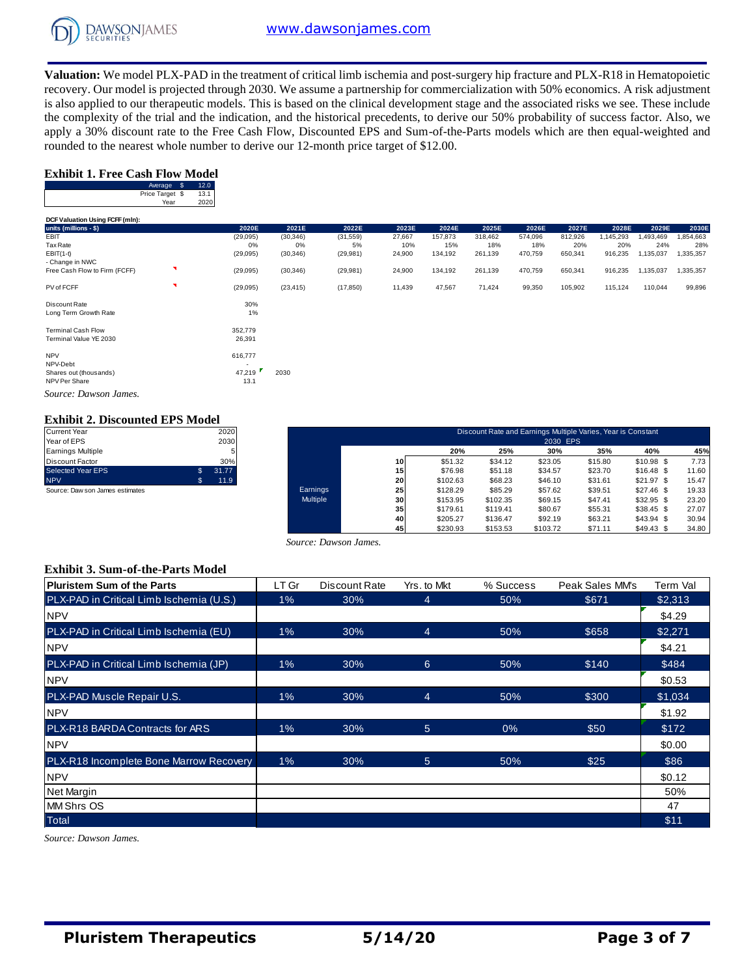

**Valuation:** We model PLX-PAD in the treatment of critical limb ischemia and post-surgery hip fracture and PLX-R18 in Hematopoietic recovery. Our model is projected through 2030. We assume a partnership for commercialization with 50% economics. A risk adjustment is also applied to our therapeutic models. This is based on the clinical development stage and the associated risks we see. These include the complexity of the trial and the indication, and the historical precedents, to derive our 50% probability of success factor. Also, we apply a 30% discount rate to the Free Cash Flow, Discounted EPS and Sum-of-the-Parts models which are then equal-weighted and rounded to the nearest whole number to derive our 12-month price target of \$12.00.

#### **Exhibit 1. Free Cash Flow Model**

| Average         | 2.0  |
|-----------------|------|
| Price Target \$ | 13.1 |
| Year            | 2020 |

|                                 | Average \$              | 12.0         |           |           |           |        |         |         |         |         |          |           |           |
|---------------------------------|-------------------------|--------------|-----------|-----------|-----------|--------|---------|---------|---------|---------|----------|-----------|-----------|
|                                 | Price Target \$<br>Year | 13.1<br>2020 |           |           |           |        |         |         |         |         |          |           |           |
| DCF Valuation Using FCFF (mln): |                         |              |           |           |           |        |         |         |         |         |          |           |           |
| units (millions - \$)           |                         |              | 2020E     | 2021E     | 2022E     | 2023E  | 2024E   | 2025E   | 2026E   | 2027E   | 2028E    | 2029E     | 2030E     |
| EBIT                            |                         |              | (29, 095) | (30, 346) | (31, 559) | 27,667 | 157,873 | 318,462 | 574,096 | 812,926 | ,145,293 | 1,493,469 | 1,854,663 |
| <b>Tax Rate</b>                 |                         |              | 0%        | $0\%$     | 5%        | 10%    | 15%     | 18%     | 18%     | 20%     | 20%      | 24%       | 28%       |
| $EBIT(1-t)$                     |                         |              | (29, 095) | (30, 346) | (29, 981) | 24,900 | 134,192 | 261,139 | 470,759 | 650,341 | 916,235  | 1,135,037 | 1,335,357 |
| - Change in NWC                 |                         |              |           |           |           |        |         |         |         |         |          |           |           |
| Free Cash Flow to Firm (FCFF)   | ×                       |              | (29, 095) | (30, 346) | (29, 981) | 24,900 | 134,192 | 261,139 | 470,759 | 650,341 | 916,235  | 1,135,037 | 1,335,357 |
| PV of FCFF                      | ×                       |              | (29,095)  | (23, 415) | (17, 850) | 11,439 | 47,567  | 71,424  | 99,350  | 105,902 | 115,124  | 110,044   | 99,896    |
| Discount Rate                   |                         |              | 30%       |           |           |        |         |         |         |         |          |           |           |
| Long Term Growth Rate           |                         |              | 1%        |           |           |        |         |         |         |         |          |           |           |
| <b>Terminal Cash Flow</b>       |                         |              | 352,779   |           |           |        |         |         |         |         |          |           |           |
| Terminal Value YE 2030          |                         |              | 26,391    |           |           |        |         |         |         |         |          |           |           |
| <b>NPV</b>                      |                         |              | 616,777   |           |           |        |         |         |         |         |          |           |           |

NPV-Debt<br>
Shares out (thousands) 47,219 Shares out (thousands) 47,219 2030 NPV Per Share 13.1

*Source: Dawson James.*

## **Exhibit 2. Discounted EPS Model**

| <b>Current Year</b>             | 2020        |
|---------------------------------|-------------|
| Year of EPS                     | 2030        |
| <b>Earnings Multiple</b>        |             |
| <b>Discount Factor</b>          | 30%         |
| <b>Selected Year EPS</b>        | \$<br>31.77 |
| <b>NPV</b>                      | 11.9        |
| Source: Daw son James estimates |             |

| Current Year                     |              | 2020  |          | Discount Rate and Earnings Multiple Varies, Year is Constant |          |          |                 |         |             |       |  |  |
|----------------------------------|--------------|-------|----------|--------------------------------------------------------------|----------|----------|-----------------|---------|-------------|-------|--|--|
| Year of EPS<br>Earnings Multiple |              | 2030  |          |                                                              | 20%      | 25%      | 2030 EPS<br>30% | 35%     | 40%         | 45%   |  |  |
| Discount Factor                  |              | 30%   |          | 10 <sup>1</sup>                                              | \$51.32  | \$34.12  | \$23.05         | \$15.80 | $$10.98$ \$ | 7.73  |  |  |
| Selected Year EPS                | $\mathbf{s}$ | 31.77 |          | 15                                                           | \$76.98  | \$51.18  | \$34.57         | \$23.70 | $$16.48$ \$ | 11.60 |  |  |
| <b>NPV</b>                       | 55           | 11.9  |          | 20                                                           | \$102.63 | \$68.23  | \$46.10         | \$31.61 | \$21.97S    | 15.47 |  |  |
| Source: Daw son James estimates  |              |       | Earnings | 25                                                           | \$128.29 | \$85.29  | \$57.62         | \$39.51 | $$27.46$ \$ | 19.33 |  |  |
|                                  |              |       | Multiple | 30 <sup>1</sup>                                              | \$153.95 | \$102.35 | \$69.15         | \$47.41 | $$32.95$ \$ | 23.20 |  |  |
|                                  |              |       |          | 35 <sub>1</sub>                                              | \$179.61 | \$119.41 | \$80.67         | \$55.31 | $$38.45$ \$ | 27.07 |  |  |
|                                  |              |       |          | 40                                                           | \$205.27 | \$136.47 | \$92.19         | \$63.21 | $$43.94$ \$ | 30.94 |  |  |
|                                  |              |       |          | 45                                                           | \$230.93 | \$153.53 | \$103.72        | \$71.11 | $$49.43$ \$ | 34.80 |  |  |

#### **Exhibit 3. Sum-of-the-Parts Model**

|                                          |       | Source: Dawson James. |                |           |                 |          |  |  |  |  |  |  |  |  |
|------------------------------------------|-------|-----------------------|----------------|-----------|-----------------|----------|--|--|--|--|--|--|--|--|
| <b>Exhibit 3. Sum-of-the-Parts Model</b> |       |                       |                |           |                 |          |  |  |  |  |  |  |  |  |
| <b>Pluristem Sum of the Parts</b>        | LT Gr | Discount Rate         | Yrs, to Mkt    | % Success | Peak Sales MM's | Term Val |  |  |  |  |  |  |  |  |
| PLX-PAD in Critical Limb Ischemia (U.S.) | $1\%$ | 30%                   | $\overline{4}$ | 50%       | \$671           | \$2,313  |  |  |  |  |  |  |  |  |
| <b>NPV</b>                               |       |                       |                |           |                 | \$4.29   |  |  |  |  |  |  |  |  |
| PLX-PAD in Critical Limb Ischemia (EU)   | $1\%$ | 30%                   | $\overline{4}$ | 50%       | \$658           | \$2,271  |  |  |  |  |  |  |  |  |
| <b>NPV</b>                               |       |                       |                |           |                 | \$4.21   |  |  |  |  |  |  |  |  |
| PLX-PAD in Critical Limb Ischemia (JP)   | 1%    | 30%                   | 6              | 50%       | \$140           | \$484    |  |  |  |  |  |  |  |  |
| <b>NPV</b>                               |       |                       |                |           |                 | \$0.53   |  |  |  |  |  |  |  |  |
| PLX-PAD Muscle Repair U.S.               | $1\%$ | 30%                   | $\overline{4}$ | 50%       | \$300           | \$1,034  |  |  |  |  |  |  |  |  |
| <b>NPV</b>                               |       |                       |                |           |                 | \$1.92   |  |  |  |  |  |  |  |  |
| PLX-R18 BARDA Contracts for ARS          | $1\%$ | 30%                   | 5 <sup>5</sup> | 0%        | \$50            | \$172    |  |  |  |  |  |  |  |  |
| <b>NPV</b>                               |       |                       |                |           |                 | \$0.00   |  |  |  |  |  |  |  |  |
| PLX-R18 Incomplete Bone Marrow Recovery  | $1\%$ | 30%                   | $\overline{5}$ | 50%       | \$25            | \$86     |  |  |  |  |  |  |  |  |
| <b>NPV</b>                               |       |                       |                |           |                 | \$0.12   |  |  |  |  |  |  |  |  |
| Net Margin                               |       |                       |                |           |                 | 50%      |  |  |  |  |  |  |  |  |
| <b>MM Shrs OS</b>                        |       |                       |                |           |                 | 47       |  |  |  |  |  |  |  |  |
| <b>Total</b>                             |       |                       |                |           |                 | \$11     |  |  |  |  |  |  |  |  |

*Source: Dawson James.*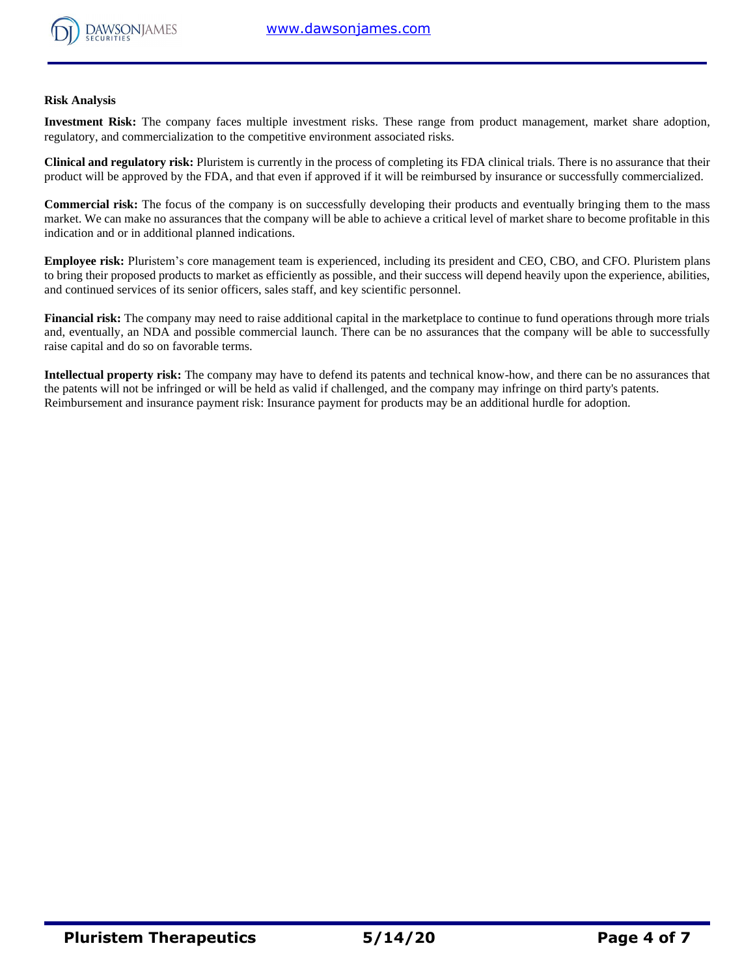

#### **Risk Analysis**

**Investment Risk:** The company faces multiple investment risks. These range from product management, market share adoption, regulatory, and commercialization to the competitive environment associated risks.

**Clinical and regulatory risk:** Pluristem is currently in the process of completing its FDA clinical trials. There is no assurance that their product will be approved by the FDA, and that even if approved if it will be reimbursed by insurance or successfully commercialized.

**Commercial risk:** The focus of the company is on successfully developing their products and eventually bringing them to the mass market. We can make no assurances that the company will be able to achieve a critical level of market share to become profitable in this indication and or in additional planned indications.

**Employee risk:** Pluristem's core management team is experienced, including its president and CEO, CBO, and CFO. Pluristem plans to bring their proposed products to market as efficiently as possible, and their success will depend heavily upon the experience, abilities, and continued services of its senior officers, sales staff, and key scientific personnel.

**Financial risk:** The company may need to raise additional capital in the marketplace to continue to fund operations through more trials and, eventually, an NDA and possible commercial launch. There can be no assurances that the company will be able to successfully raise capital and do so on favorable terms.

**Intellectual property risk:** The company may have to defend its patents and technical know-how, and there can be no assurances that the patents will not be infringed or will be held as valid if challenged, and the company may infringe on third party's patents. Reimbursement and insurance payment risk: Insurance payment for products may be an additional hurdle for adoption.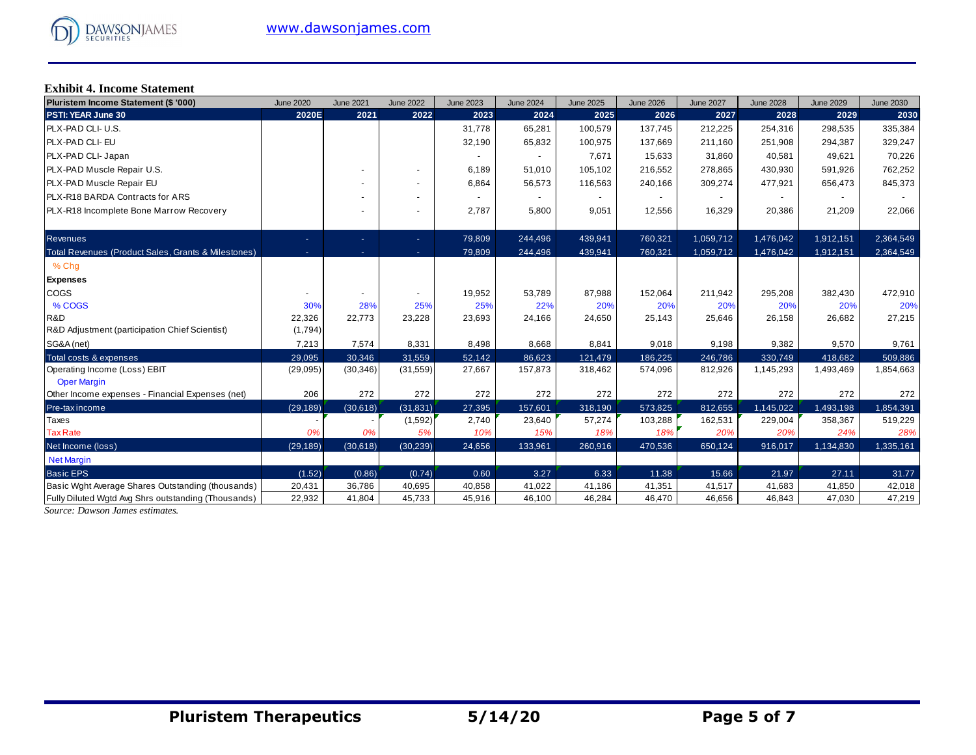# **Exhibit 4. Income Statement**

| Pluristem Income Statement (\$ '000)                | <b>June 2020</b> | <b>June 2021</b> | <b>June 2022</b> | <b>June 2023</b> | <b>June 2024</b> | <b>June 2025</b> | <b>June 2026</b> | <b>June 2027</b> | <b>June 2028</b> | <b>June 2029</b> | <b>June 2030</b> |
|-----------------------------------------------------|------------------|------------------|------------------|------------------|------------------|------------------|------------------|------------------|------------------|------------------|------------------|
| PSTI: YEAR June 30                                  | 2020E            | 2021             | 2022             | 2023             | 2024             | 2025             | 2026             | 2027             | 2028             | 2029             | 2030             |
| PLX-PAD CLI- U.S.                                   |                  |                  |                  | 31,778           | 65,281           | 100,579          | 137,745          | 212,225          | 254,316          | 298,535          | 335,384          |
| PLX-PAD CLI- EU                                     |                  |                  |                  | 32,190           | 65,832           | 100,975          | 137,669          | 211,160          | 251,908          | 294,387          | 329,247          |
| PLX-PAD CLI- Japan                                  |                  |                  |                  | $\sim$           |                  | 7,671            | 15,633           | 31,860           | 40,581           | 49,621           | 70,226           |
| PLX-PAD Muscle Repair U.S.                          |                  |                  |                  | 6,189            | 51,010           | 105,102          | 216,552          | 278,865          | 430,930          | 591,926          | 762,252          |
| PLX-PAD Muscle Repair EU                            |                  |                  | ۰                | 6,864            | 56,573           | 116,563          | 240,166          | 309,274          | 477,921          | 656,473          | 845,373          |
| PLX-R18 BARDA Contracts for ARS                     |                  |                  | ٠                |                  |                  |                  |                  |                  |                  |                  |                  |
| PLX-R18 Incomplete Bone Marrow Recovery             |                  |                  | ۰                | 2,787            | 5,800            | 9,051            | 12,556           | 16,329           | 20,386           | 21,209           | 22,066           |
| <b>Revenues</b>                                     | ٠                | ٠                | ÷.               | 79,809           | 244,496          | 439,941          | 760,321          | 1,059,712        | 1,476,042        | 1,912,151        | 2,364,549        |
| Total Revenues (Product Sales, Grants & Milestones) | ٠                | ٠                | ٠.               | 79,809           | 244,496          | 439,941          | 760,321          | 1,059,712        | 1,476,042        | 1,912,151        | 2,364,549        |
| % Chq                                               |                  |                  |                  |                  |                  |                  |                  |                  |                  |                  |                  |
| <b>Expenses</b>                                     |                  |                  |                  |                  |                  |                  |                  |                  |                  |                  |                  |
| COGS                                                |                  |                  |                  | 19,952           | 53,789           | 87,988           | 152,064          | 211,942          | 295,208          | 382,430          | 472,910          |
| % COGS                                              | 30%              | 28%              | 25%              | 25%              | 22%              | 20%              | 20%              | 20%              | 20%              | 20%              | 20%              |
| R&D                                                 | 22,326           | 22,773           | 23,228           | 23,693           | 24,166           | 24,650           | 25,143           | 25,646           | 26,158           | 26,682           | 27,215           |
| R&D Adjustment (participation Chief Scientist)      | (1,794)          |                  |                  |                  |                  |                  |                  |                  |                  |                  |                  |
| SG&A (net)                                          | 7,213            | 7,574            | 8,331            | 8,498            | 8,668            | 8,841            | 9,018            | 9,198            | 9,382            | 9,570            | 9,761            |
| Total costs & expenses                              | 29,095           | 30,346           | 31,559           | 52,142           | 86,623           | 121,479          | 186,225          | 246,786          | 330,749          | 418,682          | 509,886          |
| Operating Income (Loss) EBIT<br><b>Oper Margin</b>  | (29,095)         | (30, 346)        | (31, 559)        | 27,667           | 157,873          | 318,462          | 574,096          | 812,926          | 1,145,293        | 1,493,469        | 1,854,663        |
| Other Income expenses - Financial Expenses (net)    | 206              | 272              | 272              | 272              | 272              | 272              | 272              | 272              | 272              | 272              | 272              |
| Pre-tax income                                      | (29, 189)        | (30,618)         | (31, 831)        | 27,395           | 157,601          | 318,190          | 573,825          | 812,655          | 1,145,022        | 1,493,198        | 1,854,391        |
| Taxes                                               |                  |                  | (1,592)          | 2,740            | 23,640           | 57,274           | 103,288          | 162,531          | 229,004          | 358,367          | 519,229          |
| <b>Tax Rate</b>                                     | 0%               | 0%               | 5%               | 10%              | 15%              | 18%              | 18%              | 20%              | 20%              | 24%              | 28%              |
| Net Income (loss)                                   | (29, 189)        | (30,618)         | (30, 239)        | 24,656           | 133,961          | 260,916          | 470,536          | 650,124          | 916,017          | 1,134,830        | 1,335,161        |
| <b>Net Margin</b>                                   |                  |                  |                  |                  |                  |                  |                  |                  |                  |                  |                  |
| <b>Basic EPS</b>                                    | (1.52)           | (0.86)           | (0.74)           | 0.60             | 3.27             | 6.33             | 11.38            | 15.66            | 21.97            | 27.11            | 31.77            |
| Basic Wght Average Shares Outstanding (thousands)   | 20,431           | 36,786           | 40,695           | 40,858           | 41,022           | 41,186           | 41,351           | 41,517           | 41,683           | 41,850           | 42,018           |
| Fully Diluted Wgtd Avg Shrs outstanding (Thousands) | 22,932           | 41,804           | 45,733           | 45,916           | 46,100           | 46,284           | 46,470           | 46,656           | 46,843           | 47,030           | 47,219           |

*Source: Dawson James estimates.*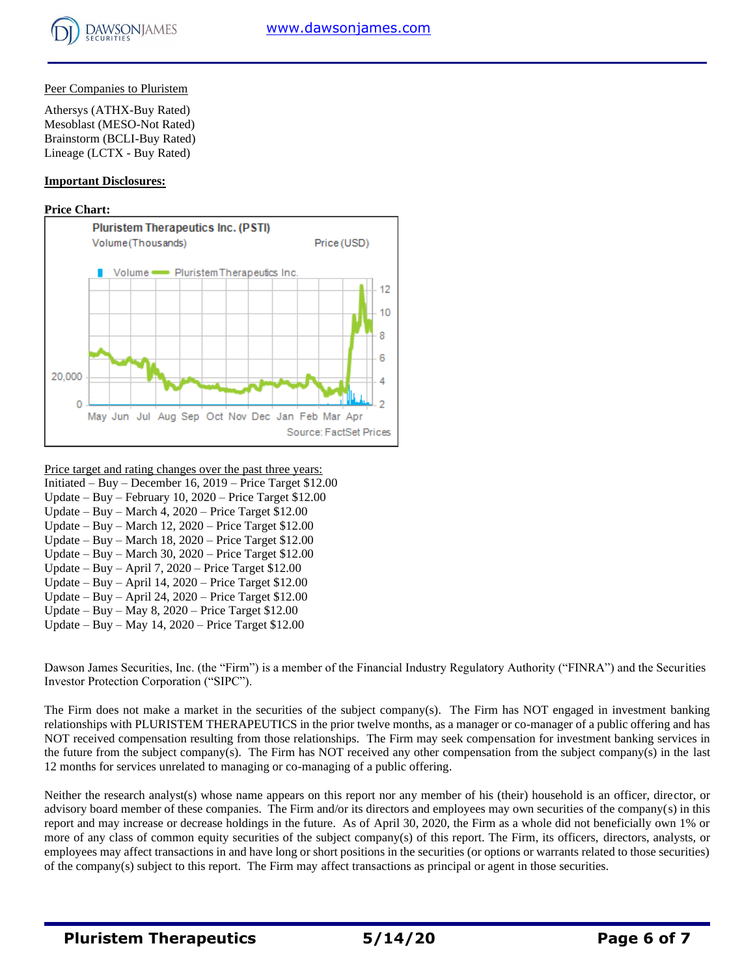## Peer Companies to Pluristem

Athersys (ATHX-Buy Rated) Mesoblast (MESO-Not Rated) Brainstorm (BCLI-Buy Rated) Lineage (LCTX - Buy Rated)

## **Important Disclosures:**

## **Price Chart:**



#### Price target and rating changes over the past three years: Initiated – Buy – December 16, 2019 – Price Target \$12.00 Update – Buy – February 10, 2020 – Price Target \$12.00 Update – Buy – March 4, 2020 – Price Target \$12.00 Update – Buy – March 12, 2020 – Price Target \$12.00 Update – Buy – March 18, 2020 – Price Target \$12.00 Update – Buy – March 30, 2020 – Price Target \$12.00 Update – Buy – April 7, 2020 – Price Target \$12.00

- Update Buy April 14, 2020 Price Target \$12.00
- Update Buy April 24, 2020 Price Target \$12.00
- Update Buy May 8, 2020 Price Target \$12.00
- Update Buy May 14, 2020 Price Target \$12.00

Dawson James Securities, Inc. (the "Firm") is a member of the Financial Industry Regulatory Authority ("FINRA") and the Securities Investor Protection Corporation ("SIPC").

The Firm does not make a market in the securities of the subject company(s). The Firm has NOT engaged in investment banking relationships with PLURISTEM THERAPEUTICS in the prior twelve months, as a manager or co-manager of a public offering and has NOT received compensation resulting from those relationships. The Firm may seek compensation for investment banking services in the future from the subject company(s). The Firm has NOT received any other compensation from the subject company(s) in the last 12 months for services unrelated to managing or co-managing of a public offering.

Neither the research analyst(s) whose name appears on this report nor any member of his (their) household is an officer, director, or advisory board member of these companies. The Firm and/or its directors and employees may own securities of the company(s) in this report and may increase or decrease holdings in the future. As of April 30, 2020, the Firm as a whole did not beneficially own 1% or more of any class of common equity securities of the subject company(s) of this report. The Firm, its officers, directors, analysts, or employees may affect transactions in and have long or short positions in the securities (or options or warrants related to those securities) of the company(s) subject to this report. The Firm may affect transactions as principal or agent in those securities.